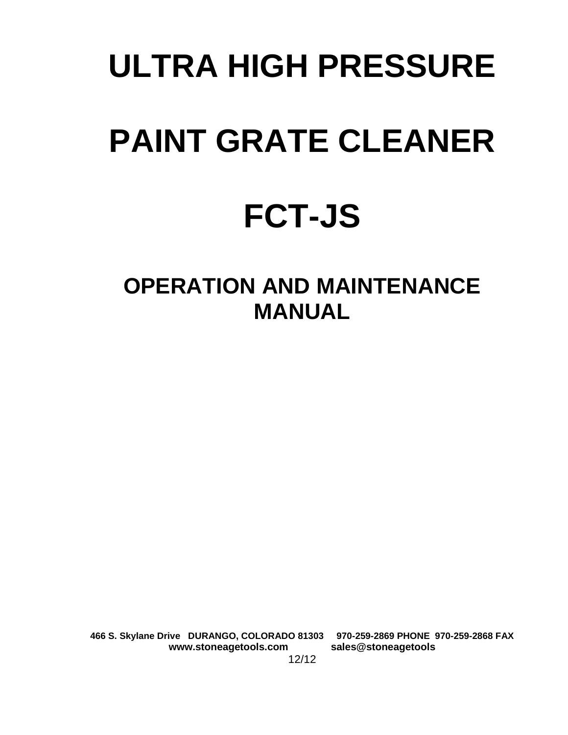# **ULTRA HIGH PRESSURE PAINT GRATE CLEANER**

# **FCT-JS**

# **OPERATION AND MAINTENANCE MANUAL**

**466 S. Skylane Drive DURANGO, COLORADO 81303 970-259-2869 PHONE 970-259-2868 FAX www.stoneagetools.com sales@stoneagetools**  12/12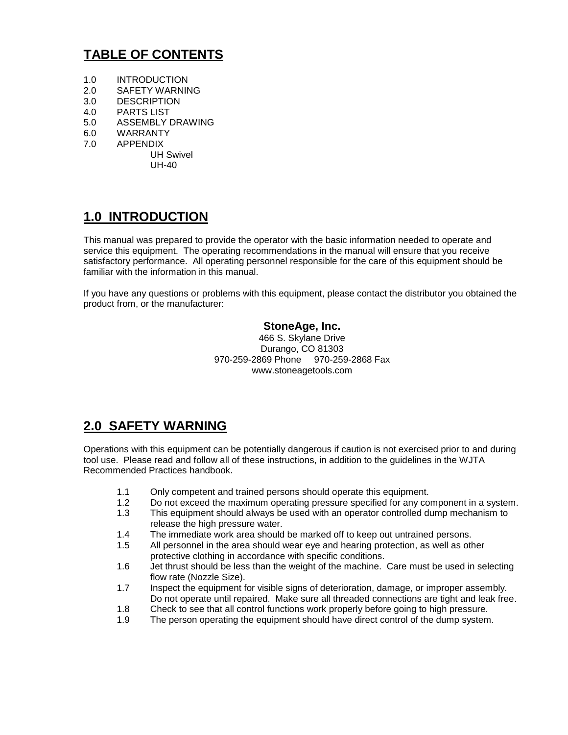# **TABLE OF CONTENTS**

- 1.0 INTRODUCTION
- 2.0 SAFETY WARNING
- 3.0 DESCRIPTION
- 4.0 PARTS LIST
- 5.0 ASSEMBLY DRAWING
- 6.0 WARRANTY
- 7.0 APPENDIX

UH Swivel UH-40

## **1.0 INTRODUCTION**

This manual was prepared to provide the operator with the basic information needed to operate and service this equipment. The operating recommendations in the manual will ensure that you receive satisfactory performance. All operating personnel responsible for the care of this equipment should be familiar with the information in this manual.

If you have any questions or problems with this equipment, please contact the distributor you obtained the product from, or the manufacturer:

#### **StoneAge, Inc.**

466 S. Skylane Drive Durango, CO 81303 970-259-2869 Phone 970-259-2868 Fax www.stoneagetools.com

### **2.0 SAFETY WARNING**

Operations with this equipment can be potentially dangerous if caution is not exercised prior to and during tool use. Please read and follow all of these instructions, in addition to the guidelines in the WJTA Recommended Practices handbook.

- 1.1 Only competent and trained persons should operate this equipment.
- 1.2 Do not exceed the maximum operating pressure specified for any component in a system.
- 1.3 This equipment should always be used with an operator controlled dump mechanism to release the high pressure water.
- 1.4 The immediate work area should be marked off to keep out untrained persons.
- 1.5 All personnel in the area should wear eye and hearing protection, as well as other protective clothing in accordance with specific conditions.
- 1.6 Jet thrust should be less than the weight of the machine. Care must be used in selecting flow rate (Nozzle Size).
- 1.7 Inspect the equipment for visible signs of deterioration, damage, or improper assembly. Do not operate until repaired. Make sure all threaded connections are tight and leak free.
- 1.8 Check to see that all control functions work properly before going to high pressure.
- 1.9 The person operating the equipment should have direct control of the dump system.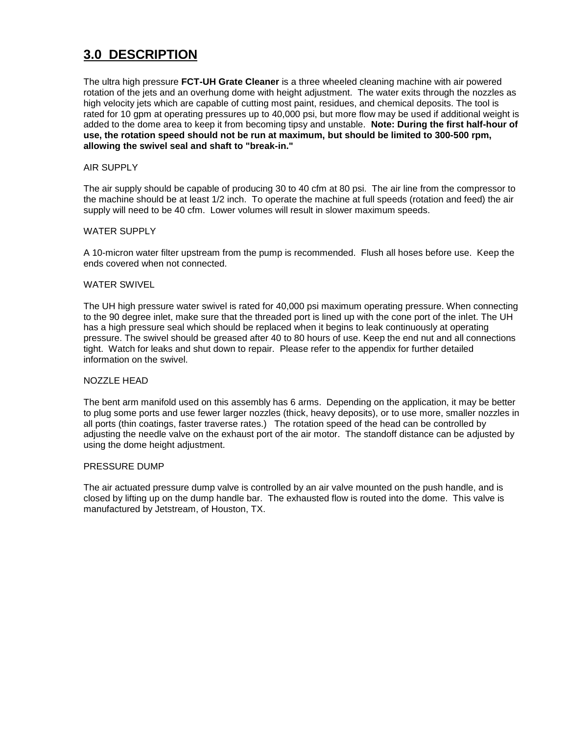# **3.0 DESCRIPTION**

The ultra high pressure **FCT-UH Grate Cleaner** is a three wheeled cleaning machine with air powered rotation of the jets and an overhung dome with height adjustment. The water exits through the nozzles as high velocity jets which are capable of cutting most paint, residues, and chemical deposits. The tool is rated for 10 gpm at operating pressures up to 40,000 psi, but more flow may be used if additional weight is added to the dome area to keep it from becoming tipsy and unstable. **Note: During the first half-hour of use, the rotation speed should not be run at maximum, but should be limited to 300-500 rpm, allowing the swivel seal and shaft to "break-in."**

#### AIR SUPPLY

The air supply should be capable of producing 30 to 40 cfm at 80 psi. The air line from the compressor to the machine should be at least 1/2 inch. To operate the machine at full speeds (rotation and feed) the air supply will need to be 40 cfm. Lower volumes will result in slower maximum speeds.

#### WATER SUPPLY

A 10-micron water filter upstream from the pump is recommended. Flush all hoses before use. Keep the ends covered when not connected.

#### WATER SWIVEL

The UH high pressure water swivel is rated for 40,000 psi maximum operating pressure. When connecting to the 90 degree inlet, make sure that the threaded port is lined up with the cone port of the inlet. The UH has a high pressure seal which should be replaced when it begins to leak continuously at operating pressure. The swivel should be greased after 40 to 80 hours of use. Keep the end nut and all connections tight. Watch for leaks and shut down to repair. Please refer to the appendix for further detailed information on the swivel.

#### NOZZLE HEAD

The bent arm manifold used on this assembly has 6 arms. Depending on the application, it may be better to plug some ports and use fewer larger nozzles (thick, heavy deposits), or to use more, smaller nozzles in all ports (thin coatings, faster traverse rates.) The rotation speed of the head can be controlled by adjusting the needle valve on the exhaust port of the air motor. The standoff distance can be adjusted by using the dome height adjustment.

#### PRESSURE DUMP

The air actuated pressure dump valve is controlled by an air valve mounted on the push handle, and is closed by lifting up on the dump handle bar. The exhausted flow is routed into the dome. This valve is manufactured by Jetstream, of Houston, TX.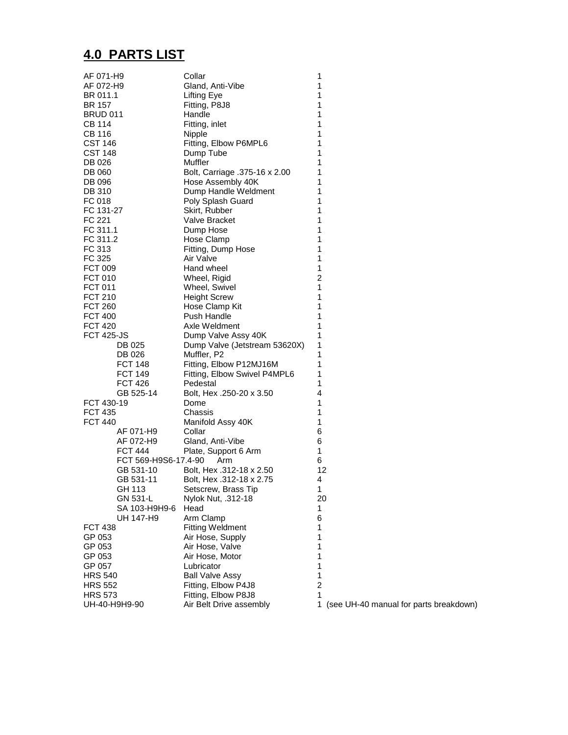# **4.0 PARTS LIST**

| AF 071-H9               | Collar                                          | 1              |
|-------------------------|-------------------------------------------------|----------------|
| AF 072-H9               | Gland, Anti-Vibe                                | 1              |
| BR 011.1                | <b>Lifting Eye</b>                              | 1              |
| BR 157                  | Fitting, P8J8                                   | 1              |
| <b>BRUD 011</b>         | Handle                                          | 1              |
| CB 114                  | Fitting, inlet                                  | 1              |
| <b>CB 116</b>           | Nipple                                          | 1              |
| <b>CST 146</b>          | Fitting, Elbow P6MPL6                           | 1              |
| <b>CST 148</b>          | Dump Tube                                       | 1              |
| DB 026                  | <b>Muffler</b><br>Bolt, Carriage .375-16 x 2.00 | 1<br>1         |
| DB 060                  |                                                 | 1              |
| DB 096<br><b>DB 310</b> | Hose Assembly 40K<br>Dump Handle Weldment       | 1              |
| FC 018                  |                                                 | 1              |
| FC 131-27               | Poly Splash Guard<br>Skirt, Rubber              | 1              |
| FC 221                  | <b>Valve Bracket</b>                            | 1              |
| FC 311.1                | Dump Hose                                       | 1              |
| FC 311.2                | Hose Clamp                                      | 1              |
| FC 313                  | Fitting, Dump Hose                              | 1              |
| FC 325                  | Air Valve                                       | 1              |
| <b>FCT 009</b>          | Hand wheel                                      | 1              |
| <b>FCT 010</b>          | Wheel, Rigid                                    | 2              |
| <b>FCT 011</b>          | Wheel, Swivel                                   | 1              |
| <b>FCT 210</b>          | <b>Height Screw</b>                             | 1              |
| <b>FCT 260</b>          | Hose Clamp Kit                                  | 1              |
| <b>FCT 400</b>          | Push Handle                                     | 1              |
| <b>FCT 420</b>          | Axle Weldment                                   | 1              |
| <b>FCT 425-JS</b>       | Dump Valve Assy 40K                             | 1              |
| DB 025                  | Dump Valve (Jetstream 53620X)                   | 1              |
| DB 026                  | Muffler, P2                                     | 1              |
| FCT 148                 | Fitting, Elbow P12MJ16M                         | 1              |
| <b>FCT 149</b>          | Fitting, Elbow Swivel P4MPL6                    | 1              |
| <b>FCT 426</b>          | Pedestal                                        | 1              |
| GB 525-14               | Bolt, Hex .250-20 x 3.50                        | 4              |
| FCT 430-19              | Dome                                            | 1              |
| <b>FCT 435</b>          | Chassis                                         | 1              |
| <b>FCT 440</b>          | Manifold Assy 40K                               | 1              |
| AF 071-H9               | Collar                                          | 6              |
| AF 072-H9               | Gland, Anti-Vibe                                | 6              |
| <b>FCT 444</b>          | Plate, Support 6 Arm                            | 1              |
| FCT 569-H9S6-17.4-90    | Arm                                             | 6              |
| GB 531-10               | Bolt, Hex .312-18 x 2.50                        | 12             |
| GB 531-11               | Bolt, Hex .312-18 x 2.75                        | 4              |
| GH 113<br>GN 531-L      | Setscrew, Brass Tip<br>Nylok Nut, .312-18       | 1              |
| SA 103-H9H9-6           | Head                                            | 20<br>1        |
| UH 147-H9               | Arm Clamp                                       | 6              |
| <b>FCT 438</b>          | <b>Fitting Weldment</b>                         | 1              |
| GP 053                  | Air Hose, Supply                                | 1              |
| GP 053                  | Air Hose, Valve                                 | 1              |
| GP 053                  | Air Hose, Motor                                 | 1              |
| GP 057                  | Lubricator                                      | 1              |
| <b>HRS 540</b>          | <b>Ball Valve Assy</b>                          | 1              |
| <b>HRS 552</b>          | Fitting, Elbow P4J8                             | $\overline{c}$ |
| <b>HRS 573</b>          | Fitting, Elbow P8J8                             | 1              |
| UH-40-H9H9-90           | Air Belt Drive assembly                         | 1 (see $L$     |

mbly 1 (see UH-40 manual for parts breakdown)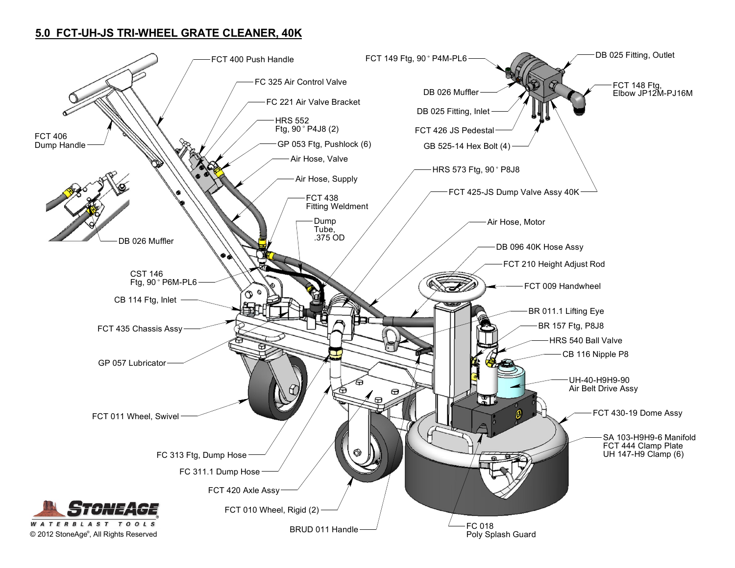#### 5.0 FCT-UH-JS TRI-WHEEL GRATE CLEANER, 40K